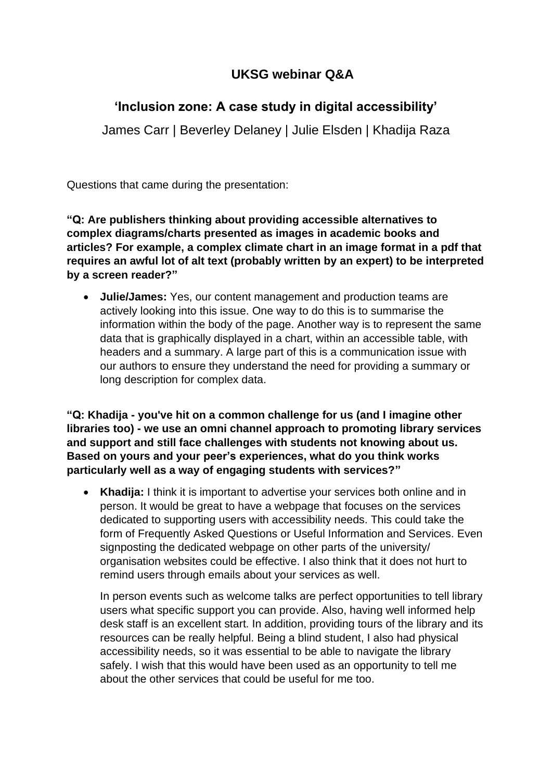# **UKSG webinar Q&A**

## **'Inclusion zone: A case study in digital accessibility'**

James Carr | Beverley Delaney | Julie Elsden | Khadija Raza

Questions that came during the presentation:

**"Q: Are publishers thinking about providing accessible alternatives to complex diagrams/charts presented as images in academic books and articles? For example, a complex climate chart in an image format in a pdf that requires an awful lot of alt text (probably written by an expert) to be interpreted by a screen reader?"**

• **Julie/James:** Yes, our content management and production teams are actively looking into this issue. One way to do this is to summarise the information within the body of the page. Another way is to represent the same data that is graphically displayed in a chart, within an accessible table, with headers and a summary. A large part of this is a communication issue with our authors to ensure they understand the need for providing a summary or long description for complex data.

**"Q: Khadija - you've hit on a common challenge for us (and I imagine other libraries too) - we use an omni channel approach to promoting library services and support and still face challenges with students not knowing about us. Based on yours and your peer's experiences, what do you think works particularly well as a way of engaging students with services?"**

• **Khadija:** I think it is important to advertise your services both online and in person. It would be great to have a webpage that focuses on the services dedicated to supporting users with accessibility needs. This could take the form of Frequently Asked Questions or Useful Information and Services. Even signposting the dedicated webpage on other parts of the university/ organisation websites could be effective. I also think that it does not hurt to remind users through emails about your services as well.

In person events such as welcome talks are perfect opportunities to tell library users what specific support you can provide. Also, having well informed help desk staff is an excellent start. In addition, providing tours of the library and its resources can be really helpful. Being a blind student, I also had physical accessibility needs, so it was essential to be able to navigate the library safely. I wish that this would have been used as an opportunity to tell me about the other services that could be useful for me too.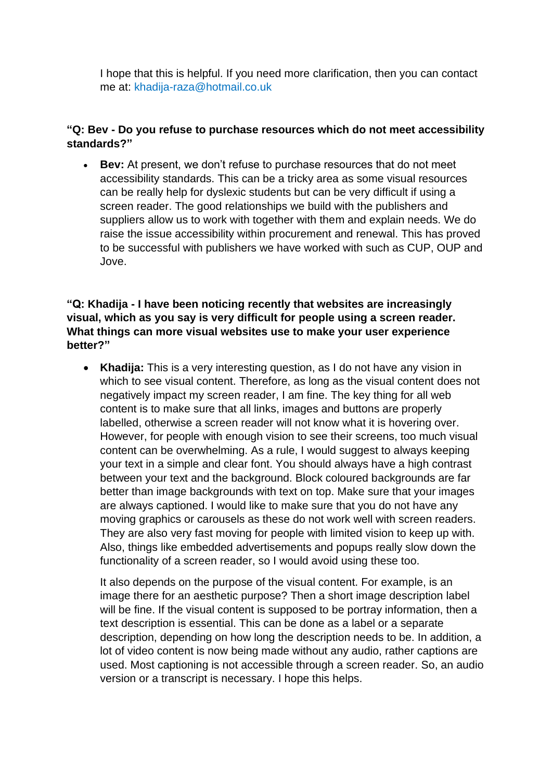I hope that this is helpful. If you need more clarification, then you can contact me at: [khadija-raza@hotmail.co.uk](mailto:khadija-raza@hotmail.co.uk)

#### **"Q: Bev - Do you refuse to purchase resources which do not meet accessibility standards?"**

• **Bev:** At present, we don't refuse to purchase resources that do not meet accessibility standards. This can be a tricky area as some visual resources can be really help for dyslexic students but can be very difficult if using a screen reader. The good relationships we build with the publishers and suppliers allow us to work with together with them and explain needs. We do raise the issue accessibility within procurement and renewal. This has proved to be successful with publishers we have worked with such as CUP, OUP and Jove.

#### **"Q: Khadija - I have been noticing recently that websites are increasingly visual, which as you say is very difficult for people using a screen reader. What things can more visual websites use to make your user experience better?"**

• **Khadija:** This is a very interesting question, as I do not have any vision in which to see visual content. Therefore, as long as the visual content does not negatively impact my screen reader, I am fine. The key thing for all web content is to make sure that all links, images and buttons are properly labelled, otherwise a screen reader will not know what it is hovering over. However, for people with enough vision to see their screens, too much visual content can be overwhelming. As a rule, I would suggest to always keeping your text in a simple and clear font. You should always have a high contrast between your text and the background. Block coloured backgrounds are far better than image backgrounds with text on top. Make sure that your images are always captioned. I would like to make sure that you do not have any moving graphics or carousels as these do not work well with screen readers. They are also very fast moving for people with limited vision to keep up with. Also, things like embedded advertisements and popups really slow down the functionality of a screen reader, so I would avoid using these too.

It also depends on the purpose of the visual content. For example, is an image there for an aesthetic purpose? Then a short image description label will be fine. If the visual content is supposed to be portray information, then a text description is essential. This can be done as a label or a separate description, depending on how long the description needs to be. In addition, a lot of video content is now being made without any audio, rather captions are used. Most captioning is not accessible through a screen reader. So, an audio version or a transcript is necessary. I hope this helps.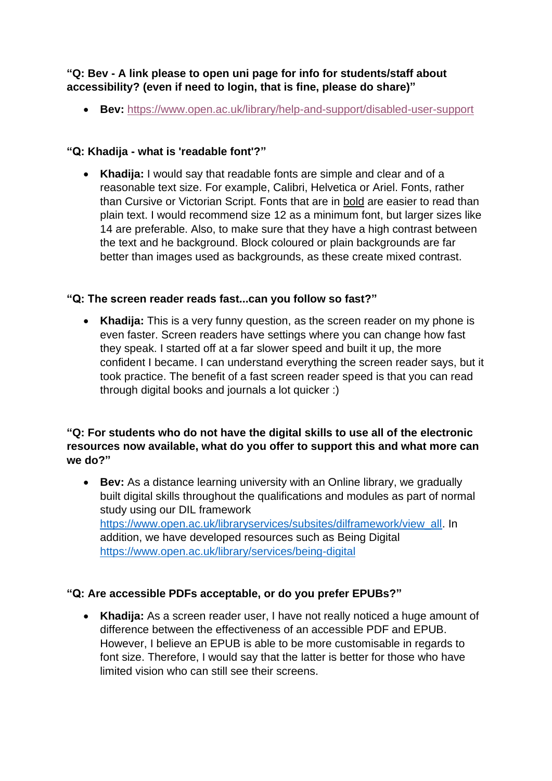## **"Q: Bev - A link please to open uni page for info for students/staff about accessibility? (even if need to login, that is fine, please do share)"**

• **Bev:** <https://www.open.ac.uk/library/help-and-support/disabled-user-support>

## **"Q: Khadija - what is 'readable font'?"**

• **Khadija:** I would say that readable fonts are simple and clear and of a reasonable text size. For example, Calibri, Helvetica or Ariel. Fonts, rather than Cursive or Victorian Script. Fonts that are in bold are easier to read than plain text. I would recommend size 12 as a minimum font, but larger sizes like 14 are preferable. Also, to make sure that they have a high contrast between the text and he background. Block coloured or plain backgrounds are far better than images used as backgrounds, as these create mixed contrast.

## **"Q: The screen reader reads fast...can you follow so fast?"**

• **Khadija:** This is a very funny question, as the screen reader on my phone is even faster. Screen readers have settings where you can change how fast they speak. I started off at a far slower speed and built it up, the more confident I became. I can understand everything the screen reader says, but it took practice. The benefit of a fast screen reader speed is that you can read through digital books and journals a lot quicker :)

#### **"Q: For students who do not have the digital skills to use all of the electronic resources now available, what do you offer to support this and what more can we do?"**

• **Bev:** As a distance learning university with an Online library, we gradually built digital skills throughout the qualifications and modules as part of normal study using our DIL framework [https://www.open.ac.uk/libraryservices/subsites/dilframework/view\\_all.](https://www.open.ac.uk/libraryservices/subsites/dilframework/view_all) In addition, we have developed resources such as Being Digital <https://www.open.ac.uk/library/services/being-digital>

## **"Q: Are accessible PDFs acceptable, or do you prefer EPUBs?"**

• **Khadija:** As a screen reader user, I have not really noticed a huge amount of difference between the effectiveness of an accessible PDF and EPUB. However, I believe an EPUB is able to be more customisable in regards to font size. Therefore, I would say that the latter is better for those who have limited vision who can still see their screens.